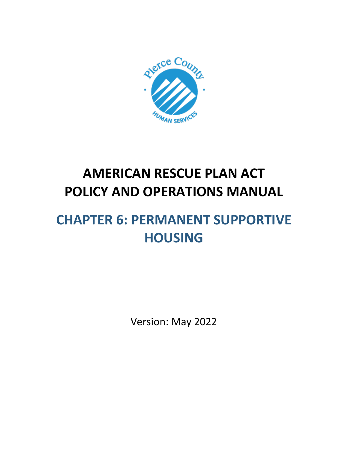

# **AMERICAN RESCUE PLAN ACT POLICY AND OPERATIONS MANUAL**

# **CHAPTER 6: PERMANENT SUPPORTIVE HOUSING**

Version: May 2022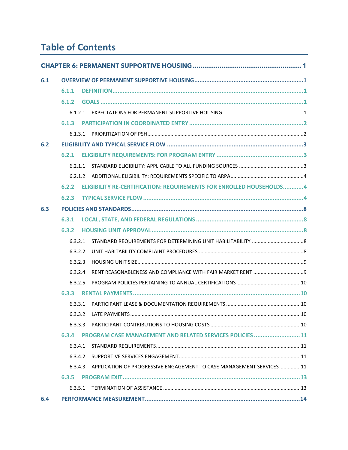# **Table of Contents**

| 6.1 |         |  |                                                                             |  |  |
|-----|---------|--|-----------------------------------------------------------------------------|--|--|
|     | 6.1.1   |  |                                                                             |  |  |
|     | 6.1.2   |  |                                                                             |  |  |
|     |         |  |                                                                             |  |  |
|     | 6.1.3   |  |                                                                             |  |  |
|     | 6.1.3.1 |  |                                                                             |  |  |
| 6.2 |         |  |                                                                             |  |  |
|     | 6.2.1   |  |                                                                             |  |  |
|     | 6.2.1.1 |  |                                                                             |  |  |
|     |         |  |                                                                             |  |  |
|     | 6.2.2   |  | ELIGIBILITY RE-CERTIFICATION: REQUIREMENTS FOR ENROLLED HOUSEHOLDS4         |  |  |
|     | 6.2.3   |  |                                                                             |  |  |
| 6.3 |         |  |                                                                             |  |  |
|     | 6.3.1   |  |                                                                             |  |  |
|     | 6,3.2   |  |                                                                             |  |  |
|     | 6.3.2.1 |  |                                                                             |  |  |
|     | 6.3.2.2 |  |                                                                             |  |  |
|     | 6.3.2.3 |  |                                                                             |  |  |
|     | 6.3.2.4 |  |                                                                             |  |  |
|     | 6.3.2.5 |  |                                                                             |  |  |
|     | 6.3.3   |  |                                                                             |  |  |
|     | 6.3.3.1 |  |                                                                             |  |  |
|     |         |  | 6332 LATE PAYMENTS<br>. 10                                                  |  |  |
|     | 6.3.3.3 |  |                                                                             |  |  |
|     | 6.3.4   |  | PROGRAM CASE MANAGEMENT AND RELATED SERVICES POLICIES 11                    |  |  |
|     | 6.3.4.1 |  |                                                                             |  |  |
|     | 6.3.4.2 |  |                                                                             |  |  |
|     |         |  | 6.3.4.3 APPLICATION OF PROGRESSIVE ENGAGEMENT TO CASE MANAGEMENT SERVICES11 |  |  |
|     |         |  |                                                                             |  |  |
|     | 6.3.5.1 |  |                                                                             |  |  |
| 6.4 |         |  |                                                                             |  |  |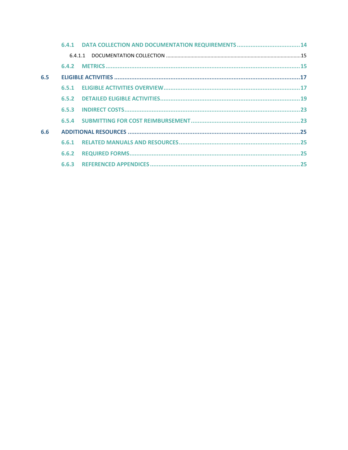| 6.5 |       |  |
|-----|-------|--|
|     | 6,5,1 |  |
|     |       |  |
|     |       |  |
|     |       |  |
| 6.6 |       |  |
|     | 6.6.1 |  |
|     | 6.6.2 |  |
|     |       |  |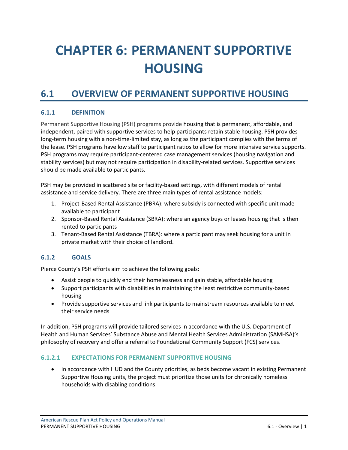# <span id="page-3-0"></span>**CHAPTER 6: PERMANENT SUPPORTIVE HOUSING**

# <span id="page-3-1"></span>**6.1 OVERVIEW OF PERMANENT SUPPORTIVE HOUSING**

# <span id="page-3-2"></span>**6.1.1 DEFINITION**

Permanent Supportive Housing (PSH) programs provide housing that is permanent, affordable, and independent, paired with supportive services to help participants retain stable housing. PSH provides long-term housing with a non-time-limited stay, as long as the participant complies with the terms of the lease. PSH programs have low staff to participant ratios to allow for more intensive service supports. PSH programs may require participant-centered case management services (housing navigation and stability services) but may not require participation in disability-related services. Supportive services should be made available to participants.

PSH may be provided in scattered site or facility-based settings, with different models of rental assistance and service delivery. There are three main types of rental assistance models:

- 1. Project-Based Rental Assistance (PBRA): where subsidy is connected with specific unit made available to participant
- 2. Sponsor-Based Rental Assistance (SBRA): where an agency buys or leases housing that is then rented to participants
- 3. Tenant-Based Rental Assistance (TBRA): where a participant may seek housing for a unit in private market with their choice of landlord.

# <span id="page-3-3"></span>**6.1.2 GOALS**

Pierce County's PSH efforts aim to achieve the following goals:

- Assist people to quickly end their homelessness and gain stable, affordable housing
- Support participants with disabilities in maintaining the least restrictive community-based housing
- Provide supportive services and link participants to mainstream resources available to meet their service needs

In addition, PSH programs will provide tailored services in accordance with the U.S. Department of Health and Human Services' Substance Abuse and Mental Health Services Administration (SAMHSA)'s philosophy of recovery and offer a referral to Foundational Community Support (FCS) services.

#### <span id="page-3-4"></span>**6.1.2.1 EXPECTATIONS FOR PERMANENT SUPPORTIVE HOUSING**

• In accordance with HUD and the County priorities, as beds become vacant in existing Permanent Supportive Housing units, the project must prioritize those units for chronically homeless households with disabling conditions.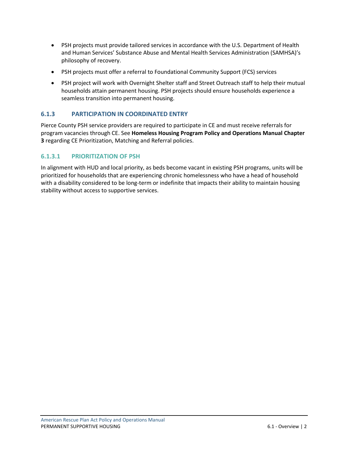- PSH projects must provide tailored services in accordance with the U.S. Department of Health and Human Services' Substance Abuse and Mental Health Services Administration (SAMHSA)'s philosophy of recovery.
- PSH projects must offer a referral to Foundational Community Support (FCS) services
- PSH project will work with Overnight Shelter staff and Street Outreach staff to help their mutual households attain permanent housing. PSH projects should ensure households experience a seamless transition into permanent housing.

# <span id="page-4-0"></span>**6.1.3 PARTICIPATION IN COORDINATED ENTRY**

Pierce County PSH service providers are required to participate in CE and must receive referrals for program vacancies through CE. See **Homeless Housing Program Policy and Operations Manual Chapter 3** regarding CE Prioritization, Matching and Referral policies.

# <span id="page-4-1"></span>**6.1.3.1 PRIORITIZATION OF PSH**

In alignment with HUD and local priority, as beds become vacant in existing PSH programs, units will be prioritized for households that are experiencing chronic homelessness who have a head of household with a disability considered to be long-term or indefinite that impacts their ability to maintain housing stability without access to supportive services.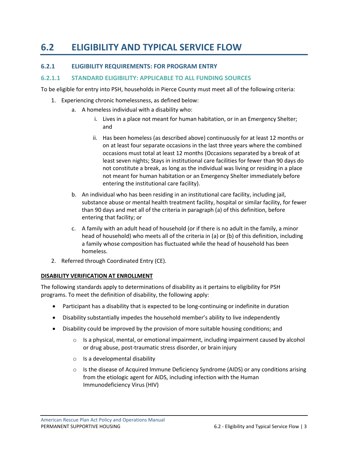# <span id="page-5-0"></span>**6.2 ELIGIBILITY AND TYPICAL SERVICE FLOW**

### <span id="page-5-1"></span>**6.2.1 ELIGIBILITY REQUIREMENTS: FOR PROGRAM ENTRY**

#### <span id="page-5-2"></span>**6.2.1.1 STANDARD ELIGIBILITY: APPLICABLE TO ALL FUNDING SOURCES**

To be eligible for entry into PSH, households in Pierce County must meet all of the following criteria:

- 1. Experiencing chronic homelessness, as defined below:
	- a. A homeless individual with a disability who:
		- i. Lives in a place not meant for human habitation, or in an Emergency Shelter; and
		- ii. Has been homeless (as described above) continuously for at least 12 months or on at least four separate occasions in the last three years where the combined occasions must total at least 12 months (Occasions separated by a break of at least seven nights; Stays in institutional care facilities for fewer than 90 days do not constitute a break, as long as the individual was living or residing in a place not meant for human habitation or an Emergency Shelter immediately before entering the institutional care facility).
	- b. An individual who has been residing in an institutional care facility, including jail, substance abuse or mental health treatment facility, hospital or similar facility, for fewer than 90 days and met all of the criteria in paragraph (a) of this definition, before entering that facility; or
	- c. A family with an adult head of household (or if there is no adult in the family, a minor head of household) who meets all of the criteria in (a) or (b) of this definition, including a family whose composition has fluctuated while the head of household has been homeless.
- 2. Referred through Coordinated Entry (CE).

#### **DISABILITY VERIFICATION AT ENROLLMENT**

The following standards apply to determinations of disability as it pertains to eligibility for PSH programs. To meet the definition of disability, the following apply:

- Participant has a disability that is expected to be long-continuing or indefinite in duration
- Disability substantially impedes the household member's ability to live independently
- Disability could be improved by the provision of more suitable housing conditions; and
	- $\circ$  Is a physical, mental, or emotional impairment, including impairment caused by alcohol or drug abuse, post-traumatic stress disorder, or brain injury
	- $\circ$  Is a developmental disability
	- $\circ$  Is the disease of Acquired Immune Deficiency Syndrome (AIDS) or any conditions arising from the etiologic agent for AIDS, including infection with the Human Immunodeficiency Virus (HIV)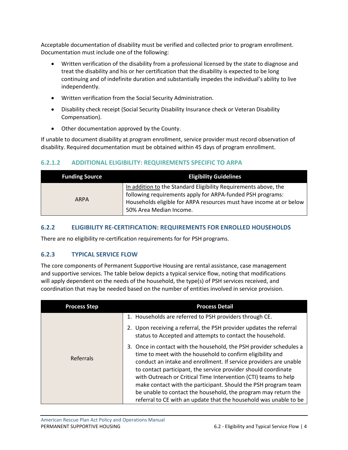Acceptable documentation of disability must be verified and collected prior to program enrollment. Documentation must include one of the following:

- Written verification of the disability from a professional licensed by the state to diagnose and treat the disability and his or her certification that the disability is expected to be long continuing and of indefinite duration and substantially impedes the individual's ability to live independently.
- Written verification from the Social Security Administration.
- Disability check receipt (Social Security Disability Insurance check or Veteran Disability Compensation).
- Other documentation approved by the County.

If unable to document disability at program enrollment, service provider must record observation of disability. Required documentation must be obtained within 45 days of program enrollment.

# <span id="page-6-0"></span>**6.2.1.2 ADDITIONAL ELIGIBILITY: REQUIREMENTS SPECIFIC TO ARPA**

| <b>Funding Source</b> | <b>Eligibility Guidelines</b>                                                                                                                                                                                                   |
|-----------------------|---------------------------------------------------------------------------------------------------------------------------------------------------------------------------------------------------------------------------------|
| <b>ARPA</b>           | In addition to the Standard Eligibility Requirements above, the<br>following requirements apply for ARPA-funded PSH programs:<br>Households eligible for ARPA resources must have income at or below<br>50% Area Median Income. |

# <span id="page-6-1"></span>**6.2.2 ELIGIBILITY RE-CERTIFICATION: REQUIREMENTS FOR ENROLLED HOUSEHOLDS**

There are no eligibility re-certification requirements for for PSH programs.

# <span id="page-6-2"></span>**6.2.3 TYPICAL SERVICE FLOW**

The core components of Permanent Supportive Housing are rental assistance, case management and supportive services. The table below depicts a typical service flow, noting that modifications will apply dependent on the needs of the household, the type(s) of PSH services received, and coordination that may be needed based on the number of entities involved in service provision.

| <b>Process Step</b> | <b>Process Detail</b>                                                                                                                                                                                                                                                                                                                                                                                                                                                                                                                                   |
|---------------------|---------------------------------------------------------------------------------------------------------------------------------------------------------------------------------------------------------------------------------------------------------------------------------------------------------------------------------------------------------------------------------------------------------------------------------------------------------------------------------------------------------------------------------------------------------|
|                     | 1. Households are referred to PSH providers through CE.                                                                                                                                                                                                                                                                                                                                                                                                                                                                                                 |
|                     | Upon receiving a referral, the PSH provider updates the referral<br>status to Accepted and attempts to contact the household.                                                                                                                                                                                                                                                                                                                                                                                                                           |
| Referrals           | Once in contact with the household, the PSH provider schedules a<br>3.<br>time to meet with the household to confirm eligibility and<br>conduct an intake and enrollment. If service providers are unable<br>to contact participant, the service provider should coordinate<br>with Outreach or Critical Time Intervention (CTI) teams to help<br>make contact with the participant. Should the PSH program team<br>be unable to contact the household, the program may return the<br>referral to CE with an update that the household was unable to be |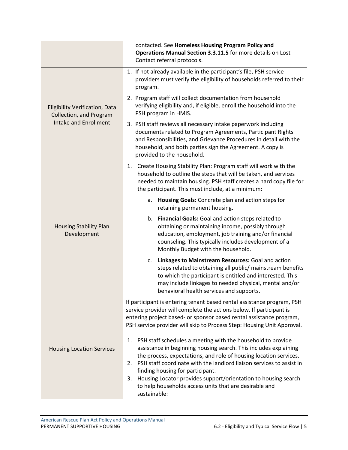|                                                                  | contacted. See Homeless Housing Program Policy and<br>Operations Manual Section 3.3.11.5 for more details on Lost<br>Contact referral protocols.                                                                                                                                                                                                                                                                                                                               |
|------------------------------------------------------------------|--------------------------------------------------------------------------------------------------------------------------------------------------------------------------------------------------------------------------------------------------------------------------------------------------------------------------------------------------------------------------------------------------------------------------------------------------------------------------------|
|                                                                  | 1. If not already available in the participant's file, PSH service<br>providers must verify the eligibility of households referred to their<br>program.                                                                                                                                                                                                                                                                                                                        |
| <b>Eligibility Verification, Data</b><br>Collection, and Program | 2. Program staff will collect documentation from household<br>verifying eligibility and, if eligible, enroll the household into the<br>PSH program in HMIS.                                                                                                                                                                                                                                                                                                                    |
| <b>Intake and Enrollment</b>                                     | 3. PSH staff reviews all necessary intake paperwork including<br>documents related to Program Agreements, Participant Rights<br>and Responsibilities, and Grievance Procedures in detail with the<br>household, and both parties sign the Agreement. A copy is<br>provided to the household.                                                                                                                                                                                   |
|                                                                  | Create Housing Stability Plan: Program staff will work with the<br>1.<br>household to outline the steps that will be taken, and services<br>needed to maintain housing. PSH staff creates a hard copy file for<br>the participant. This must include, at a minimum:                                                                                                                                                                                                            |
|                                                                  | Housing Goals: Concrete plan and action steps for<br>a.<br>retaining permanent housing.                                                                                                                                                                                                                                                                                                                                                                                        |
| <b>Housing Stability Plan</b><br>Development                     | Financial Goals: Goal and action steps related to<br>b.<br>obtaining or maintaining income, possibly through<br>education, employment, job training and/or financial<br>counseling. This typically includes development of a<br>Monthly Budget with the household.                                                                                                                                                                                                             |
|                                                                  | Linkages to Mainstream Resources: Goal and action<br>c.<br>steps related to obtaining all public/ mainstream benefits<br>to which the participant is entitled and interested. This<br>may include linkages to needed physical, mental and/or<br>behavioral health services and supports.                                                                                                                                                                                       |
|                                                                  | If participant is entering tenant based rental assistance program, PSH<br>service provider will complete the actions below. If participant is<br>entering project based- or sponsor based rental assistance program,<br>PSH service provider will skip to Process Step: Housing Unit Approval.                                                                                                                                                                                 |
| <b>Housing Location Services</b>                                 | 1.<br>PSH staff schedules a meeting with the household to provide<br>assistance in beginning housing search. This includes explaining<br>the process, expectations, and role of housing location services.<br>PSH staff coordinate with the landlord liaison services to assist in<br>2.<br>finding housing for participant.<br>Housing Locator provides support/orientation to housing search<br>3.<br>to help households access units that are desirable and<br>sustainable: |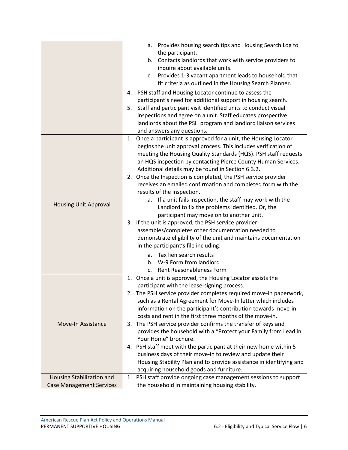|                                 | Provides housing search tips and Housing Search Log to<br>a.         |
|---------------------------------|----------------------------------------------------------------------|
|                                 | the participant.                                                     |
|                                 | Contacts landlords that work with service providers to<br>b.         |
|                                 | inquire about available units.                                       |
|                                 | Provides 1-3 vacant apartment leads to household that<br>c.          |
|                                 | fit criteria as outlined in the Housing Search Planner.              |
|                                 | 4. PSH staff and Housing Locator continue to assess the              |
|                                 | participant's need for additional support in housing search.         |
|                                 | Staff and participant visit identified units to conduct visual<br>5. |
|                                 | inspections and agree on a unit. Staff educates prospective          |
|                                 | landlords about the PSH program and landlord liaison services        |
|                                 | and answers any questions.                                           |
|                                 | 1. Once a participant is approved for a unit, the Housing Locator    |
|                                 | begins the unit approval process. This includes verification of      |
|                                 | meeting the Housing Quality Standards (HQS). PSH staff requests      |
|                                 | an HQS inspection by contacting Pierce County Human Services.        |
|                                 | Additional details may be found in Section 6.3.2.                    |
|                                 | 2. Once the Inspection is completed, the PSH service provider        |
|                                 | receives an emailed confirmation and completed form with the         |
|                                 | results of the inspection.                                           |
|                                 | If a unit fails inspection, the staff may work with the<br>а.        |
| <b>Housing Unit Approval</b>    | Landlord to fix the problems identified. Or, the                     |
|                                 | participant may move on to another unit.                             |
|                                 | 3. If the unit is approved, the PSH service provider                 |
|                                 | assembles/completes other documentation needed to                    |
|                                 | demonstrate eligibility of the unit and maintains documentation      |
|                                 | in the participant's file including:                                 |
|                                 | a. Tax lien search results                                           |
|                                 | W-9 Form from landlord<br>b.                                         |
|                                 | Rent Reasonableness Form<br>c.                                       |
|                                 | 1. Once a unit is approved, the Housing Locator assists the          |
|                                 | participant with the lease-signing process.                          |
|                                 | 2. The PSH service provider completes required move-in paperwork,    |
|                                 | such as a Rental Agreement for Move-In letter which includes         |
|                                 | information on the participant's contribution towards move-in        |
|                                 | costs and rent in the first three months of the move-in.             |
| <b>Move-In Assistance</b>       | 3. The PSH service provider confirms the transfer of keys and        |
|                                 | provides the household with a "Protect your Family from Lead in      |
|                                 | Your Home" brochure.                                                 |
|                                 | 4. PSH staff meet with the participant at their new home within 5    |
|                                 | business days of their move-in to review and update their            |
|                                 | Housing Stability Plan and to provide assistance in identifying and  |
|                                 | acquiring household goods and furniture.                             |
| Housing Stabilization and       | PSH staff provide ongoing case management sessions to support<br>1.  |
| <b>Case Management Services</b> | the household in maintaining housing stability.                      |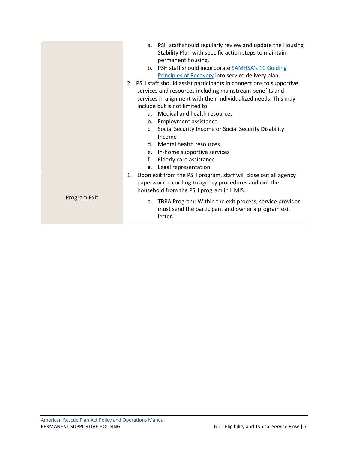|              | PSH staff should regularly review and update the Housing<br>a.         |
|--------------|------------------------------------------------------------------------|
|              | Stability Plan with specific action steps to maintain                  |
|              |                                                                        |
|              | permanent housing.                                                     |
|              | b. PSH staff should incorporate SAMHSA's 10 Guiding                    |
|              | Principles of Recovery into service delivery plan.                     |
|              | 2. PSH staff should assist participants in connections to supportive   |
|              | services and resources including mainstream benefits and               |
|              | services in alignment with their individualized needs. This may        |
|              | include but is not limited to:                                         |
|              | Medical and health resources<br>a.                                     |
|              | <b>Employment assistance</b><br>b.                                     |
|              | Social Security Income or Social Security Disability<br>$\mathsf{c}$ . |
|              | Income                                                                 |
|              | d. Mental health resources                                             |
|              | e. In-home supportive services                                         |
|              | f.<br>Elderly care assistance                                          |
|              | Legal representation<br>g.                                             |
|              | Upon exit from the PSH program, staff will close out all agency<br>1.  |
|              | paperwork according to agency procedures and exit the                  |
|              | household from the PSH program in HMIS.                                |
| Program Exit |                                                                        |
|              | TBRA Program: Within the exit process, service provider<br>a.          |
|              | must send the participant and owner a program exit                     |
|              | letter.                                                                |
|              |                                                                        |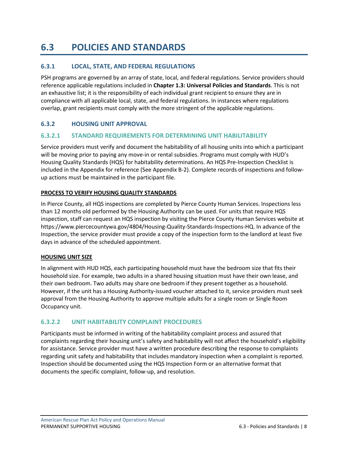# <span id="page-10-0"></span>**6.3 POLICIES AND STANDARDS**

# <span id="page-10-1"></span>**6.3.1 LOCAL, STATE, AND FEDERAL REGULATIONS**

PSH programs are governed by an array of state, local, and federal regulations. Service providers should reference applicable regulations included in **Chapter 1.3: Universal Policies and Standards**. This is not an exhaustive list; it is the responsibility of each individual grant recipient to ensure they are in compliance with all applicable local, state, and federal regulations. In instances where regulations overlap, grant recipients must comply with the more stringent of the applicable regulations.

### <span id="page-10-2"></span>**6.3.2 HOUSING UNIT APPROVAL**

#### <span id="page-10-3"></span>**6.3.2.1 STANDARD REQUIREMENTS FOR DETERMINING UNIT HABILITABILITY**

Service providers must verify and document the habitability of all housing units into which a participant will be moving prior to paying any move-in or rental subsidies. Programs must comply with HUD's Housing Quality Standards (HQS) for habitability determinations. An HQS Pre-Inspection Checklist is included in the Appendix for reference (See Appendix B-2). Complete records of inspections and followup actions must be maintained in the participant file.

#### **PROCESS TO VERIFY HOUSING QUALITY STANDARDS**

In Pierce County, all HQS inspections are completed by Pierce County Human Services. Inspections less than 12 months old performed by the Housing Authority can be used. For units that require HQS inspection, staff can request an HQS inspection by visiting the Pierce County Human Services website at https://www.piercecountywa.gov/4804/Housing-Quality-Standards-Inspections-HQ. In advance of the Inspection, the service provider must provide a copy of the inspection form to the landlord at least five days in advance of the scheduled appointment.

#### **HOUSING UNIT SIZE**

In alignment with HUD HQS, each participating household must have the bedroom size that fits their household size. For example, two adults in a shared housing situation must have their own lease, and their own bedroom. Two adults may share one bedroom if they present together as a household. However, if the unit has a Housing Authority-issued voucher attached to it, service providers must seek approval from the Housing Authority to approve multiple adults for a single room or Single Room Occupancy unit.

#### <span id="page-10-4"></span>**6.3.2.2 UNIT HABITABILITY COMPLAINT PROCEDURES**

Participants must be informed in writing of the habitability complaint process and assured that complaints regarding their housing unit's safety and habitability will not affect the household's eligibility for assistance. Service provider must have a written procedure describing the response to complaints regarding unit safety and habitability that includes mandatory inspection when a complaint is reported. Inspection should be documented using the HQS Inspection Form or an alternative format that documents the specific complaint, follow-up, and resolution.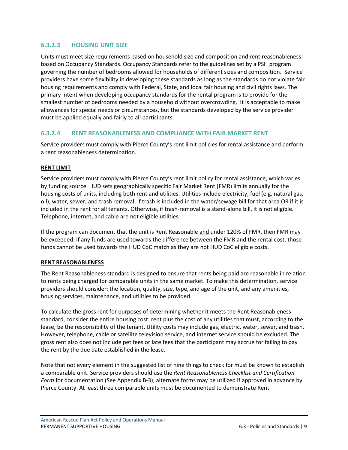# <span id="page-11-0"></span>**6.3.2.3 HOUSING UNIT SIZE**

Units must meet size requirements based on household size and composition and rent reasonableness based on Occupancy Standards. Occupancy Standards refer to the guidelines set by a PSH program governing the number of bedrooms allowed for households of different sizes and composition. Service providers have some flexibility in developing these standards as long as the standards do not violate fair housing requirements and comply with Federal, State, and local fair housing and civil rights laws. The primary intent when developing occupancy standards for the rental program is to provide for the smallest number of bedrooms needed by a household without overcrowding. It is acceptable to make allowances for special needs or circumstances, but the standards developed by the service provider must be applied equally and fairly to all participants.

### <span id="page-11-1"></span>**6.3.2.4 RENT REASONABLENESS AND COMPLIANCE WITH FAIR MARKET RENT**

Service providers must comply with Pierce County's rent limit policies for rental assistance and perform a rent reasonableness determination.

#### **RENT LIMIT**

Service providers must comply with Pierce County's rent limit policy for rental assistance, which varies by funding source. HUD sets geographically specific Fair Market Rent (FMR) limits annually for the housing costs of units, including both rent and utilities. Utilities include electricity, fuel (e.g. natural gas, oil), water, sewer, and trash removal, if trash is included in the water/sewage bill for that area OR if it is included in the rent for all tenants. Otherwise, if trash-removal is a stand-alone bill, it is not eligible. Telephone, internet, and cable are not eligible utilities.

If the program can document that the unit is Rent Reasonable and under 120% of FMR, then FMR may be exceeded. If any funds are used towards the difference between the FMR and the rental cost, those funds cannot be used towards the HUD CoC match as they are not HUD CoC eligible costs.

#### **RENT REASONABLENESS**

The Rent Reasonableness standard is designed to ensure that rents being paid are reasonable in relation to rents being charged for comparable units in the same market. To make this determination, service providers should consider: the location, quality, size, type, and age of the unit, and any amenities, housing services, maintenance, and utilities to be provided.

To calculate the gross rent for purposes of determining whether it meets the Rent Reasonableness standard, consider the entire housing cost: rent plus the cost of any utilities that must, according to the lease, be the responsibility of the tenant. Utility costs may include gas, electric, water, sewer, and trash. However, telephone, cable or satellite television service, and internet service should be excluded. The gross rent also does not include pet fees or late fees that the participant may accrue for failing to pay the rent by the due date established in the lease.

Note that not every element in the suggested list of nine things to check for must be known to establish a comparable unit. Service providers should use the *Rent Reasonableness Checklist and Certification Form* for documentation (See Appendix B-3); alternate forms may be utilized if approved in advance by Pierce County. At least three comparable units must be documented to demonstrate Rent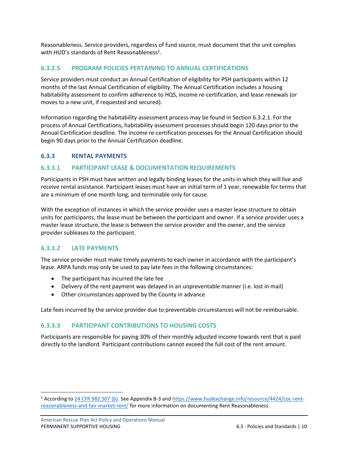Reasonableness. Service providers, regardless of fund source, must document that the unit complies with HUD's standards of Rent Reasonableness<sup>1</sup>.

### <span id="page-12-0"></span>**6.3.2.5 PROGRAM POLICIES PERTAINING TO ANNUAL CERTIFICATIONS**

Service providers must conduct an Annual Certification of eligibility for PSH participants within 12 months of the last Annual Certification of eligibility. The Annual Certification includes a housing habitability assessment to confirm adherence to HQS, income re-certification, and lease renewals (or moves to a new unit, if requested and secured).

Information regarding the habitability assessment process may be found in Section 6.3.2.1. For the process of Annual Certifications, habitability assessment processes should begin 120 days prior to the Annual Certification deadline. The income re-certification processes for the Annual Certification should begin 90 days prior to the Annual Certification deadline.

#### <span id="page-12-1"></span>**6.3.3 RENTAL PAYMENTS**

#### <span id="page-12-2"></span>**6.3.3.1 PARTICIPANT LEASE & DOCUMENTATION REQUIREMENTS**

Participants in PSH must have written and legally binding leases for the units in which they will live and receive rental assistance. Participant leases must have an initial term of 1 year, renewable for terms that are a minimum of one month long, and terminable only for cause.

With the exception of instances in which the service provider uses a master lease structure to obtain units for participants, the lease must be between the participant and owner. If a service provider uses a master lease structure, the lease is between the service provider and the owner, and the service provider subleases to the participant.

#### <span id="page-12-3"></span>**6.3.3.2 LATE PAYMENTS**

The service provider must make timely payments to each owner in accordance with the participant's lease. ARPA funds may only be used to pay late fees in the following circumstances:

- The participant has incurred the late fee
- Delivery of the rent payment was delayed in an unpreventable manner (i.e. lost in mail)
- Other circumstances approved by the County in advance

Late fees incurred by the service provider due to preventable circumstances will not be reimbursable.

#### <span id="page-12-4"></span>**6.3.3.3 PARTICIPANT CONTRIBUTIONS TO HOUSING COSTS**

Participants are responsible for paying 30% of their monthly adjusted income towards rent that is paid directly to the landlord. Participant contributions cannot exceed the full cost of the rent amount.

<sup>1</sup> According to [24 CFR 982.507 \(b\).](https://ecfr.federalregister.gov/current/title-24/subtitle-B/chapter-IX/part-982/subpart-K/section-982.507#p-982.507(b)) See Appendix B-3 and [https://www.hudexchange.info/resource/4424/coc-rent](https://www.hudexchange.info/resource/4424/coc-rent-reasonableness-and-fair-market-rent/)[reasonableness-and-fair-market-rent/](https://www.hudexchange.info/resource/4424/coc-rent-reasonableness-and-fair-market-rent/) for more information on documenting Rent Reasonableness.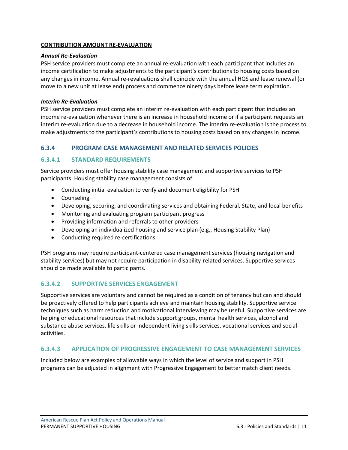#### **CONTRIBUTION AMOUNT RE-EVALUATION**

#### *Annual Re-Evaluation*

PSH service providers must complete an annual re-evaluation with each participant that includes an income certification to make adjustments to the participant's contributions to housing costs based on any changes in income. Annual re-revaluations shall coincide with the annual HQS and lease renewal (or move to a new unit at lease end) process and commence ninety days before lease term expiration.

#### *Interim Re-Evaluation*

PSH service providers must complete an interim re-evaluation with each participant that includes an income re-evaluation whenever there is an increase in household income or if a participant requests an interim re-evaluation due to a decrease in household income. The interim re-evaluation is the process to make adjustments to the participant's contributions to housing costs based on any changes in income.

### <span id="page-13-0"></span>**6.3.4 PROGRAM CASE MANAGEMENT AND RELATED SERVICES POLICIES**

### <span id="page-13-1"></span>**6.3.4.1 STANDARD REQUIREMENTS**

Service providers must offer housing stability case management and supportive services to PSH participants. Housing stability case management consists of:

- Conducting initial evaluation to verify and document eligibility for PSH
- Counseling
- Developing, securing, and coordinating services and obtaining Federal, State, and local benefits
- Monitoring and evaluating program participant progress
- Providing information and referrals to other providers
- Developing an individualized housing and service plan (e.g., Housing Stability Plan)
- Conducting required re-certifications

PSH programs may require participant-centered case management services (housing navigation and stability services) but may not require participation in disability-related services. Supportive services should be made available to participants.

#### <span id="page-13-2"></span>**6.3.4.2 SUPPORTIVE SERVICES ENGAGEMENT**

Supportive services are voluntary and cannot be required as a condition of tenancy but can and should be proactively offered to help participants achieve and maintain housing stability. Supportive service techniques such as harm reduction and motivational interviewing may be useful. Supportive services are helping or educational resources that include support groups, mental health services, alcohol and substance abuse services, life skills or independent living skills services, vocational services and social activities.

#### <span id="page-13-3"></span>**6.3.4.3 APPLICATION OF PROGRESSIVE ENGAGEMENT TO CASE MANAGEMENT SERVICES**

Included below are examples of allowable ways in which the level of service and support in PSH programs can be adjusted in alignment with Progressive Engagement to better match client needs.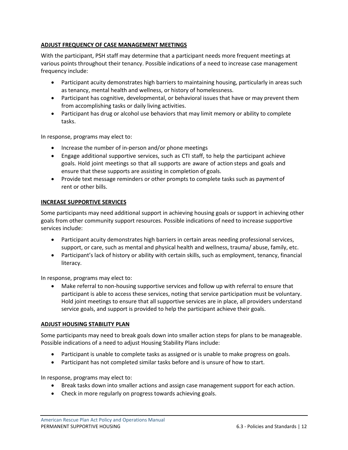#### **ADJUST FREQUENCY OF CASE MANAGEMENT MEETINGS**

With the participant, PSH staff may determine that a participant needs more frequent meetings at various points throughout their tenancy. Possible indications of a need to increase case management frequency include:

- Participant acuity demonstrates high barriers to maintaining housing, particularly in areas such as tenancy, mental health and wellness, or history of homelessness.
- Participant has cognitive, developmental, or behavioral issues that have or may prevent them from accomplishing tasks or daily living activities.
- Participant has drug or alcohol use behaviors that may limit memory or ability to complete tasks.

In response, programs may elect to:

- Increase the number of in-person and/or phone meetings
- Engage additional supportive services, such as CTI staff, to help the participant achieve goals. Hold joint meetings so that all supports are aware of action steps and goals and ensure that these supports are assisting in completion of goals.
- Provide text message reminders or other prompts to complete tasks such as paymentof rent or other bills.

#### **INCREASE SUPPORTIVE SERVICES**

Some participants may need additional support in achieving housing goals or support in achieving other goals from other community support resources. Possible indications of need to increase supportive services include:

- Participant acuity demonstrates high barriers in certain areas needing professional services, support, or care, such as mental and physical health and wellness, trauma/ abuse, family, etc.
- Participant's lack of history or ability with certain skills, such as employment, tenancy, financial literacy.

In response, programs may elect to:

• Make referral to non-housing supportive services and follow up with referral to ensure that participant is able to access these services, noting that service participation must be voluntary. Hold joint meetings to ensure that all supportive services are in place, all providers understand service goals, and support is provided to help the participant achieve their goals.

#### **ADJUST HOUSING STABILITY PLAN**

Some participants may need to break goals down into smaller action steps for plans to be manageable. Possible indications of a need to adjust Housing Stability Plans include:

- Participant is unable to complete tasks as assigned or is unable to make progress on goals.
- Participant has not completed similar tasks before and is unsure of how to start.

In response, programs may elect to:

- Break tasks down into smaller actions and assign case management support for each action.
- Check in more regularly on progress towards achieving goals.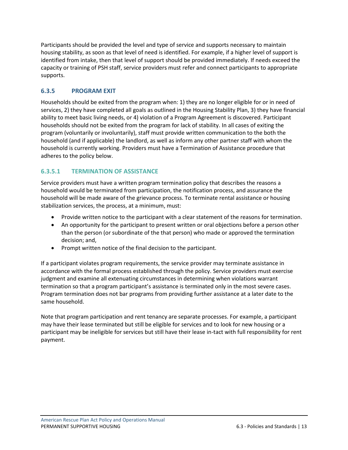Participants should be provided the level and type of service and supports necessary to maintain housing stability, as soon as that level of need is identified. For example, if a higher level of support is identified from intake, then that level of support should be provided immediately. If needs exceed the capacity or training of PSH staff, service providers must refer and connect participants to appropriate supports.

# <span id="page-15-0"></span>**6.3.5 PROGRAM EXIT**

Households should be exited from the program when: 1) they are no longer eligible for or in need of services, 2) they have completed all goals as outlined in the Housing Stability Plan, 3) they have financial ability to meet basic living needs, or 4) violation of a Program Agreement is discovered. Participant households should not be exited from the program for lack of stability. In all cases of exiting the program (voluntarily or involuntarily), staff must provide written communication to the both the household (and if applicable) the landlord, as well as inform any other partner staff with whom the household is currently working. Providers must have a Termination of Assistance procedure that adheres to the policy below.

# <span id="page-15-1"></span>**6.3.5.1 TERMINATION OF ASSISTANCE**

Service providers must have a written program termination policy that describes the reasons a household would be terminated from participation, the notification process, and assurance the household will be made aware of the grievance process. To terminate rental assistance or housing stabilization services, the process, at a minimum, must:

- Provide written notice to the participant with a clear statement of the reasons for termination.
- An opportunity for the participant to present written or oral objections before a person other than the person (or subordinate of the that person) who made or approved the termination decision; and,
- Prompt written notice of the final decision to the participant.

If a participant violates program requirements, the service provider may terminate assistance in accordance with the formal process established through the policy. Service providers must exercise judgment and examine all extenuating circumstances in determining when violations warrant termination so that a program participant's assistance is terminated only in the most severe cases. Program termination does not bar programs from providing further assistance at a later date to the same household.

Note that program participation and rent tenancy are separate processes. For example, a participant may have their lease terminated but still be eligible for services and to look for new housing or a participant may be ineligible for services but still have their lease in-tact with full responsibility for rent payment.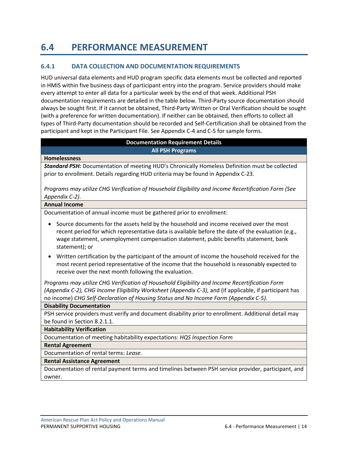# <span id="page-16-0"></span>**6.4 PERFORMANCE MEASUREMENT**

### <span id="page-16-1"></span>**6.4.1 DATA COLLECTION AND DOCUMENTATION REQUIREMENTS**

HUD universal data elements and HUD program specific data elements must be collected and reported in HMIS within five business days of participant entry into the program. Service providers should make every attempt to enter all data for a particular week by the end of that week. Additional PSH documentation requirements are detailed in the table below. Third-Party source documentation should always be sought first. If it cannot be obtained, Third-Party Written or Oral Verification should be sought (with a preference for written documentation). If neither can be obtained, then efforts to collect all types of Third-Party documentation should be recorded and Self-Certification shall be obtained from the participant and kept in the Participant File. See Appendix C-4 and C-5 for sample forms.

#### **Documentation Requirement Details All PSH Programs**

#### **Homelessness**

*Standard PSH:* Documentation of meeting HUD's Chronically Homeless Definition must be collected prior to enrollment. Details regarding HUD criteria may be found in Appendix C-23.

*Programs may utilize CHG Verification of Household Eligibility and Income Recertification Form (See Appendix C-2).*

#### **Annual Income**

Documentation of annual income must be gathered prior to enrollment:

- Source documents for the assets held by the household and income received over the most recent period for which representative data is available before the date of the evaluation (e.g., wage statement, unemployment compensation statement, public benefits statement, bank statement); or
- Written certification by the participant of the amount of income the household received for the most recent period representative of the income that the household is reasonably expected to receive over the next month following the evaluation.

*Programs may utilize CHG Verification of Household Eligibility and Income Recertification Form (Appendix C-2), CHG Income Eligibility Worksheet (Appendix C-3),* and (if applicable, if participant has no income) *CHG Self-Declaration of Housing Status and No Income Form (Appendix C-5).*

#### **Disability Documentation**

PSH service providers must verify and document disability prior to enrollment. Additional detail may be found in Section 8.2.1.1.

#### **Habitability Verification**

Documentation of meeting habitability expectations: *HQS Inspection Form*

#### **Rental Agreement**

Documentation of rental terms: *Lease.*

#### **Rental Assistance Agreement**

Documentation of rental payment terms and timelines between PSH service provider, participant, and owner.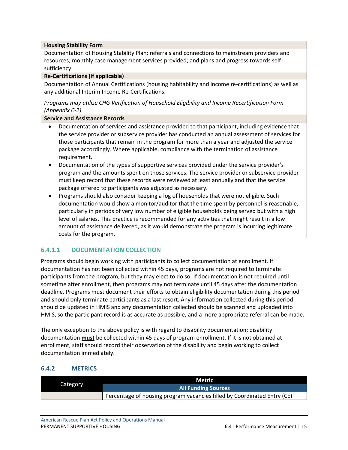**Housing Stability Form**

Documentation of Housing Stability Plan; referrals and connections to mainstream providers and resources; monthly case management services provided; and plans and progress towards selfsufficiency.

#### **Re-Certifications (if applicable)**

Documentation of Annual Certifications (housing habitability and income re-certifications) as well as any additional Interim Income Re-Certifications.

*Programs may utilize CHG Verification of Household Eligibility and Income Recertification Form (Appendix C-2).*

#### **Service and Assistance Records**

- Documentation of services and assistance provided to that participant, including evidence that the service provider or subservice provider has conducted an annual assessment of services for those participants that remain in the program for more than a year and adjusted the service package accordingly. Where applicable, compliance with the termination of assistance requirement.
- Documentation of the types of supportive services provided under the service provider's program and the amounts spent on those services. The service provider or subservice provider must keep record that these records were reviewed at least annually and that the service package offered to participants was adjusted as necessary.
- Programs should also consider keeping a log of households that were not eligible. Such documentation would show a monitor/auditor that the time spent by personnel is reasonable, particularly in periods of very low number of eligible households being served but with a high level of salaries. This practice is recommended for any activities that might result in a low amount of assistance delivered, as it would demonstrate the program is incurring legitimate costs for the program.

# <span id="page-17-0"></span>**6.4.1.1 DOCUMENTATION COLLECTION**

Programs should begin working with participants to collect documentation at enrollment. If documentation has not been collected within 45 days, programs are not required to terminate participants from the program, but they may elect to do so. If documentation is not required until sometime after enrollment, then programs may not terminate until 45 days after the documentation deadline. Programs must document their efforts to obtain eligibility documentation during this period and should only terminate participants as a last resort. Any information collected during this period should be updated in HMIS and any documentation collected should be scanned and uploaded into HMIS, so the participant record is as accurate as possible, and a more appropriate referral can be made.

The only exception to the above policy is with regard to disability documentation; disability documentation **must** be collected within 45 days of program enrollment. If it is not obtained at enrollment, staff should record their observation of the disability and begin working to collect documentation immediately.

# <span id="page-17-1"></span>**6.4.2 METRICS**

|          | Metric.                                                                  |
|----------|--------------------------------------------------------------------------|
| Category | <b>All Funding Sources</b>                                               |
|          | Percentage of housing program vacancies filled by Coordinated Entry (CE) |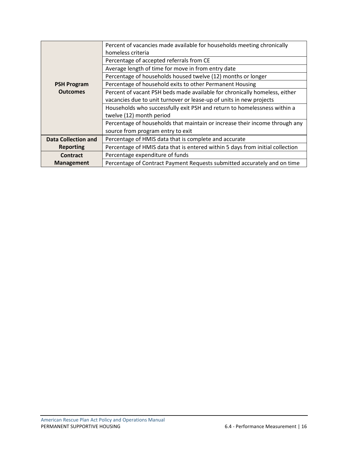|                            | Percent of vacancies made available for households meeting chronically        |
|----------------------------|-------------------------------------------------------------------------------|
|                            | homeless criteria                                                             |
|                            | Percentage of accepted referrals from CE                                      |
|                            | Average length of time for move in from entry date                            |
|                            | Percentage of households housed twelve (12) months or longer                  |
| <b>PSH Program</b>         | Percentage of household exits to other Permanent Housing                      |
| <b>Outcomes</b>            | Percent of vacant PSH beds made available for chronically homeless, either    |
|                            | vacancies due to unit turnover or lease-up of units in new projects           |
|                            | Households who successfully exit PSH and return to homelessness within a      |
|                            | twelve (12) month period                                                      |
|                            | Percentage of households that maintain or increase their income through any   |
|                            | source from program entry to exit                                             |
| <b>Data Collection and</b> | Percentage of HMIS data that is complete and accurate                         |
| <b>Reporting</b>           | Percentage of HMIS data that is entered within 5 days from initial collection |
| <b>Contract</b>            | Percentage expenditure of funds                                               |
| <b>Management</b>          | Percentage of Contract Payment Requests submitted accurately and on time      |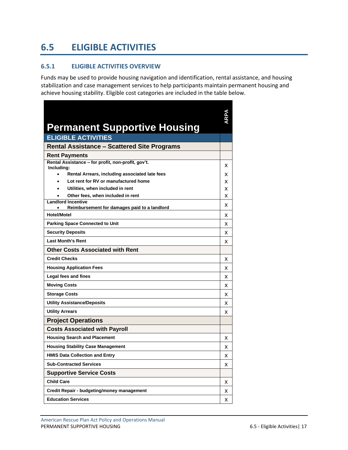# <span id="page-19-0"></span>**6.5 ELIGIBLE ACTIVITIES**

#### <span id="page-19-1"></span>**6.5.1 ELIGIBLE ACTIVITIES OVERVIEW**

Funds may be used to provide housing navigation and identification, rental assistance, and housing stabilization and case management services to help participants maintain permanent housing and achieve housing stability. Eligible cost categories are included in the table below.

| <b>Permanent Supportive Housing</b>                                       |   |
|---------------------------------------------------------------------------|---|
| <b>ELIGIBLE ACTIVITIES</b>                                                |   |
| <b>Rental Assistance - Scattered Site Programs</b>                        |   |
| <b>Rent Payments</b>                                                      |   |
| Rental Assistance - for profit, non-profit, gov't.<br>Including:          | х |
| Rental Arrears, including associated late fees<br>$\bullet$               | x |
| Lot rent for RV or manufactured home                                      | x |
| Utilities, when included in rent                                          | x |
| Other fees, when included in rent                                         | x |
| <b>Landlord Incentive</b><br>Reimbursement for damages paid to a landlord | x |
| <b>Hotel/Motel</b>                                                        | x |
| <b>Parking Space Connected to Unit</b>                                    | x |
| <b>Security Deposits</b>                                                  | x |
| <b>Last Month's Rent</b>                                                  | x |
| <b>Other Costs Associated with Rent</b>                                   |   |
| <b>Credit Checks</b>                                                      | x |
| <b>Housing Application Fees</b>                                           | x |
| Legal fees and fines                                                      | x |
| <b>Moving Costs</b>                                                       | x |
| <b>Storage Costs</b>                                                      | x |
| <b>Utility Assistance/Deposits</b>                                        | x |
| <b>Utility Arrears</b>                                                    | x |
| <b>Project Operations</b>                                                 |   |
| <b>Costs Associated with Payroll</b>                                      |   |
| <b>Housing Search and Placement</b>                                       | x |
| <b>Housing Stability Case Management</b>                                  | x |
| <b>HMIS Data Collection and Entry</b>                                     | x |
| <b>Sub-Contracted Services</b>                                            | x |
| <b>Supportive Service Costs</b>                                           |   |
| <b>Child Care</b>                                                         | x |
| Credit Repair - budgeting/money management                                | x |
| <b>Education Services</b>                                                 | х |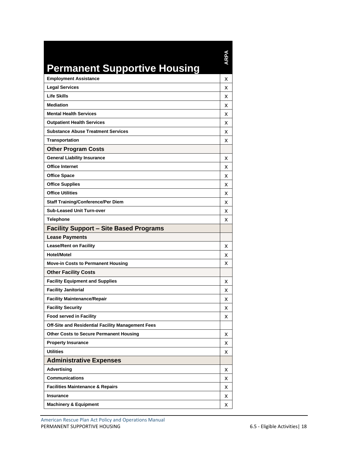# **Permanent Supportive Housing**

**ARPA**

| <b>Employment Assistance</b>                      | x |
|---------------------------------------------------|---|
| <b>Legal Services</b>                             | x |
| <b>Life Skills</b>                                | x |
| <b>Mediation</b>                                  | x |
| <b>Mental Health Services</b>                     | x |
| <b>Outpatient Health Services</b>                 | x |
| <b>Substance Abuse Treatment Services</b>         | x |
| <b>Transportation</b>                             | x |
| <b>Other Program Costs</b>                        |   |
| <b>General Liability Insurance</b>                | х |
| <b>Office Internet</b>                            | x |
| <b>Office Space</b>                               | x |
| <b>Office Supplies</b>                            | x |
| <b>Office Utilities</b>                           | x |
| <b>Staff Training/Conference/Per Diem</b>         | x |
| <b>Sub-Leased Unit Turn-over</b>                  | x |
| <b>Telephone</b>                                  | x |
| <b>Facility Support - Site Based Programs</b>     |   |
| <b>Lease Payments</b>                             |   |
| <b>Lease/Rent on Facility</b>                     | x |
| <b>Hotel/Motel</b>                                | x |
| <b>Move-in Costs to Permanent Housing</b>         | x |
| <b>Other Facility Costs</b>                       |   |
| <b>Facility Equipment and Supplies</b>            | x |
| <b>Facility Janitorial</b>                        | x |
| <b>Facility Maintenance/Repair</b>                | x |
| <b>Facility Security</b>                          | x |
| <b>Food served in Facility</b>                    | x |
| Off-Site and Residential Facility Management Fees |   |
| <b>Other Costs to Secure Permanent Housing</b>    | x |
| <b>Property Insurance</b>                         | x |
| <b>Utilities</b>                                  | x |
| <b>Administrative Expenses</b>                    |   |
| <b>Advertising</b>                                | х |
| <b>Communications</b>                             | x |
| <b>Facilities Maintenance &amp; Repairs</b>       | x |
| Insurance                                         | x |
| <b>Machinery &amp; Equipment</b>                  | x |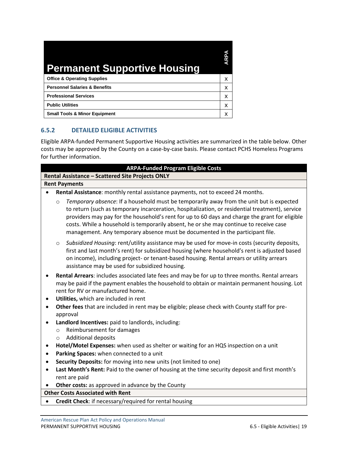| <b>Permanent Supportive Housing</b>      | آدام |
|------------------------------------------|------|
| <b>Office &amp; Operating Supplies</b>   | x    |
| <b>Personnel Salaries &amp; Benefits</b> | x    |
| <b>Professional Services</b>             | x    |
| <b>Public Utilities</b>                  | x    |
| <b>Small Tools &amp; Minor Equipment</b> |      |

# <span id="page-21-0"></span>**6.5.2 DETAILED ELIGIBLE ACTIVITIES**

Eligible ARPA-funded Permanent Supportive Housing activities are summarized in the table below. Other costs may be approved by the County on a case-by-case basis. Please contact PCHS Homeless Programs for further information.

| <b>ARPA-Funded Program Eligible Costs</b>                                                                                                                                                                                                                                                                                                                                                                                                                                           |  |  |
|-------------------------------------------------------------------------------------------------------------------------------------------------------------------------------------------------------------------------------------------------------------------------------------------------------------------------------------------------------------------------------------------------------------------------------------------------------------------------------------|--|--|
| Rental Assistance - Scattered Site Projects ONLY                                                                                                                                                                                                                                                                                                                                                                                                                                    |  |  |
| <b>Rent Payments</b>                                                                                                                                                                                                                                                                                                                                                                                                                                                                |  |  |
| Rental Assistance: monthly rental assistance payments, not to exceed 24 months.                                                                                                                                                                                                                                                                                                                                                                                                     |  |  |
| Temporary absence: If a household must be temporarily away from the unit but is expected<br>$\circ$<br>to return (such as temporary incarceration, hospitalization, or residential treatment), service<br>providers may pay for the household's rent for up to 60 days and charge the grant for eligible<br>costs. While a household is temporarily absent, he or she may continue to receive case<br>management. Any temporary absence must be documented in the participant file. |  |  |
| Subsidized Housing: rent/utility assistance may be used for move-in costs (security deposits,<br>$\circ$<br>first and last month's rent) for subsidized housing (where household's rent is adjusted based<br>on income), including project- or tenant-based housing. Rental arrears or utility arrears<br>assistance may be used for subsidized housing.                                                                                                                            |  |  |
| Rental Arrears: includes associated late fees and may be for up to three months. Rental arrears<br>$\bullet$<br>may be paid if the payment enables the household to obtain or maintain permanent housing. Lot<br>rent for RV or manufactured home.<br>Utilities, which are included in rent                                                                                                                                                                                         |  |  |
| Other fees that are included in rent may be eligible; please check with County staff for pre-<br>$\bullet$<br>approval                                                                                                                                                                                                                                                                                                                                                              |  |  |
| Landlord Incentives: paid to landlords, including:<br>$\bullet$                                                                                                                                                                                                                                                                                                                                                                                                                     |  |  |
| Reimbursement for damages<br>$\circ$<br><b>Additional deposits</b><br>$\circ$                                                                                                                                                                                                                                                                                                                                                                                                       |  |  |
| Hotel/Motel Expenses: when used as shelter or waiting for an HQS inspection on a unit<br>$\bullet$                                                                                                                                                                                                                                                                                                                                                                                  |  |  |
| Parking Spaces: when connected to a unit<br>$\bullet$                                                                                                                                                                                                                                                                                                                                                                                                                               |  |  |
| Security Deposits: for moving into new units (not limited to one)<br>$\bullet$                                                                                                                                                                                                                                                                                                                                                                                                      |  |  |
| Last Month's Rent: Paid to the owner of housing at the time security deposit and first month's<br>$\bullet$<br>rent are paid                                                                                                                                                                                                                                                                                                                                                        |  |  |
| Other costs: as approved in advance by the County                                                                                                                                                                                                                                                                                                                                                                                                                                   |  |  |
| <b>Other Costs Associated with Rent</b>                                                                                                                                                                                                                                                                                                                                                                                                                                             |  |  |
| Credit Check: if necessary/required for rental housing<br>$\bullet$                                                                                                                                                                                                                                                                                                                                                                                                                 |  |  |
|                                                                                                                                                                                                                                                                                                                                                                                                                                                                                     |  |  |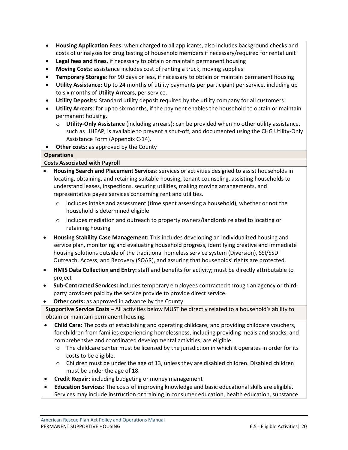- **Housing Application Fees:** when charged to all applicants, also includes background checks and costs of urinalyses for drug testing of household members if necessary/required for rental unit
- **Legal fees and fines**, if necessary to obtain or maintain permanent housing
- **Moving Costs:** assistance includes cost of renting a truck, moving supplies
- **Temporary Storage:** for 90 days or less, if necessary to obtain or maintain permanent housing
- **Utility Assistance:** Up to 24 months of utility payments per participant per service, including up to six months of **Utility Arrears**, per service.
- **Utility Deposits:** Standard utility deposit required by the utility company for all customers
- **Utility Arrears**: for up to six months, if the payment enables the household to obtain or maintain permanent housing.
	- o **Utility-Only Assistance** (including arrears): can be provided when no other utility assistance, such as LIHEAP, is available to prevent a shut-off, and documented using the CHG Utility-Only Assistance Form (Appendix C-14).

• **Other costs:** as approved by the County

#### **Operations**

#### **Costs Associated with Payroll**

- **Housing Search and Placement Services:** services or activities designed to assist households in locating, obtaining, and retaining suitable housing, tenant counseling, assisting households to understand leases, inspections, securing utilities, making moving arrangements, and representative payee services concerning rent and utilities.
	- o Includes intake and assessment (time spent assessing a household), whether or not the household is determined eligible
	- o Includes mediation and outreach to property owners/landlords related to locating or retaining housing
- **Housing Stability Case Management:** This includes developing an individualized housing and service plan, monitoring and evaluating household progress, identifying creative and immediate housing solutions outside of the traditional homeless service system (Diversion), SSI/SSDI Outreach, Access, and Recovery (SOAR), and assuring that households' rights are protected.
- **HMIS Data Collection and Entry:** staff and benefits for activity; must be directly attributable to project
- **Sub-Contracted Services:** includes temporary employees contracted through an agency or thirdparty providers paid by the service provide to provide direct service.
- **Other costs:** as approved in advance by the County

**Supportive Service Costs** – All activities below MUST be directly related to a household's ability to obtain or maintain permanent housing.

- **Child Care:** The costs of establishing and operating childcare, and providing childcare vouchers, for children from families experiencing homelessness, including providing meals and snacks, and comprehensive and coordinated developmental activities, are eligible.
	- $\circ$  The childcare center must be licensed by the jurisdiction in which it operates in order for its costs to be eligible.
	- $\circ$  Children must be under the age of 13, unless they are disabled children. Disabled children must be under the age of 18.
- **Credit Repair:** including budgeting or money management
- **Education Services:** The costs of improving knowledge and basic educational skills are eligible. Services may include instruction or training in consumer education, health education, substance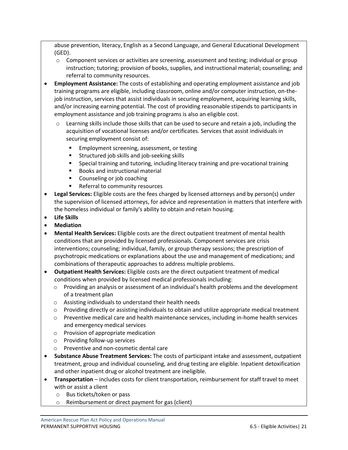abuse prevention, literacy, English as a Second Language, and General Educational Development (GED).

- $\circ$  Component services or activities are screening, assessment and testing; individual or group instruction; tutoring; provision of books, supplies, and instructional material; counseling; and referral to community resources.
- **Employment Assistance:** The costs of establishing and operating employment assistance and job training programs are eligible, including classroom, online and/or computer instruction, on-thejob instruction, services that assist individuals in securing employment, acquiring learning skills, and/or increasing earning potential. The cost of providing reasonable stipends to participants in employment assistance and job training programs is also an eligible cost.
	- $\circ$  Learning skills include those skills that can be used to secure and retain a job, including the acquisition of vocational licenses and/or certificates. Services that assist individuals in securing employment consist of:
		- Employment screening, assessment, or testing
		- Structured job skills and job-seeking skills
		- Special training and tutoring, including literacy training and pre-vocational training
		- Books and instructional material
		- Counseling or job coaching
		- Referral to community resources
- **Legal Services:** Eligible costs are the fees charged by licensed attorneys and by person(s) under the supervision of licensed attorneys, for advice and representation in matters that interfere with the homeless individual or family's ability to obtain and retain housing.
- **Life Skills**
- **Mediation**
- **Mental Health Services:** Eligible costs are the direct outpatient treatment of mental health conditions that are provided by licensed professionals. Component services are crisis interventions; counseling; individual, family, or group therapy sessions; the prescription of psychotropic medications or explanations about the use and management of medications; and combinations of therapeutic approaches to address multiple problems.
- **Outpatient Health Services:** Eligible costs are the direct outpatient treatment of medical conditions when provided by licensed medical professionals including:
	- $\circ$  Providing an analysis or assessment of an individual's health problems and the development of a treatment plan
	- o Assisting individuals to understand their health needs
	- $\circ$  Providing directly or assisting individuals to obtain and utilize appropriate medical treatment
	- o Preventive medical care and health maintenance services, including in-home health services and emergency medical services
	- o Provision of appropriate medication
	- o Providing follow-up services
	- o Preventive and non-cosmetic dental care
- **Substance Abuse Treatment Services:** The costs of participant intake and assessment, outpatient treatment, group and individual counseling, and drug testing are eligible. Inpatient detoxification and other inpatient drug or alcohol treatment are ineligible.
- **Transportation** includes costs for client transportation, reimbursement for staff travel to meet with or assist a client
	- o Bus tickets/token or pass
	- o Reimbursement or direct payment for gas (client)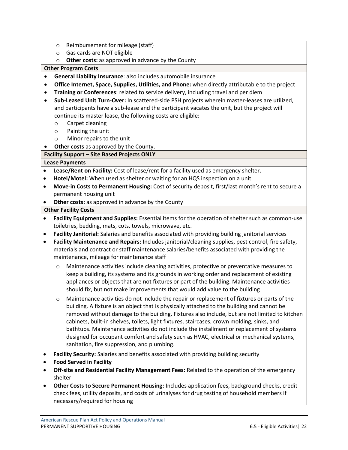- o Reimbursement for mileage (staff)
- o Gas cards are NOT eligible
- o **Other costs:** as approved in advance by the County

#### **Other Program Costs**

- **General Liability Insurance**: also includes automobile insurance
- **Office Internet, Space, Supplies, Utilities, and Phone:** when directly attributable to the project
- **Training or Conferences**: related to service delivery, including travel and per diem
- **Sub-Leased Unit Turn-Over:** In scattered-side PSH projects wherein master-leases are utilized, and participants have a sub-lease and the participant vacates the unit, but the project will continue its master lease, the following costs are eligible:
	- o Carpet cleaning
	- o Painting the unit
	- o Minor repairs to the unit
- **Other costs** as approved by the County.

# **Facility Support – Site Based Projects ONLY**

#### **Lease Payments**

- **Lease/Rent on Facility:** Cost of lease/rent for a facility used as emergency shelter.
- **Hotel/Motel:** When used as shelter or waiting for an HQS inspection on a unit.
- **Move-in Costs to Permanent Housing:** Cost of security deposit, first/last month's rent to secure a permanent housing unit
- **Other costs:** as approved in advance by the County

#### **Other Facility Costs**

- **Facility Equipment and Supplies:** Essential items for the operation of shelter such as common-use toiletries, bedding, mats, cots, towels, microwave, etc.
- **Facility Janitorial:** Salaries and benefits associated with providing building janitorial services
- **Facility Maintenance and Repairs:** Includes janitorial/cleaning supplies, pest control, fire safety, materials and contract or staff maintenance salaries/benefits associated with providing the maintenance, mileage for maintenance staff
	- o Maintenance activities include cleaning activities, protective or preventative measures to keep a building, its systems and its grounds in working order and replacement of existing appliances or objects that are not fixtures or part of the building. Maintenance activities should fix, but not make improvements that would add value to the building
	- o Maintenance activities do not include the repair or replacement of fixtures or parts of the building. A fixture is an object that is physically attached to the building and cannot be removed without damage to the building. Fixtures also include, but are not limited to kitchen cabinets, built-in shelves, toilets, light fixtures, staircases, crown molding, sinks, and bathtubs. Maintenance activities do not include the installment or replacement of systems designed for occupant comfort and safety such as HVAC, electrical or mechanical systems, sanitation, fire suppression, and plumbing.
- **Facility Security:** Salaries and benefits associated with providing building security
- **Food Served in Facility**
- **Off-site and Residential Facility Management Fees:** Related to the operation of the emergency shelter
- **Other Costs to Secure Permanent Housing:** Includes application fees, background checks, credit check fees, utility deposits, and costs of urinalyses for drug testing of household members if necessary/required for housing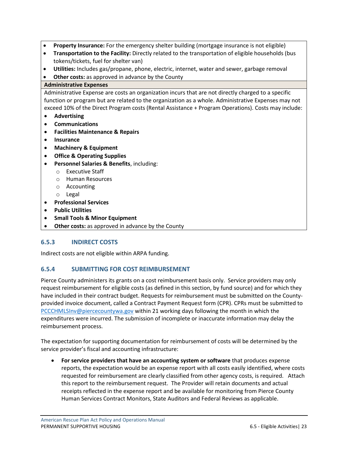- **Property Insurance:** For the emergency shelter building (mortgage insurance is not eligible)
- **Transportation to the Facility:** Directly related to the transportation of eligible households (bus tokens/tickets, fuel for shelter van)
- **Utilities:** Includes gas/propane, phone, electric, internet, water and sewer, garbage removal
- **Other costs:** as approved in advance by the County

#### **Administrative Expenses**

Administrative Expense are costs an organization incurs that are not directly charged to a specific function or program but are related to the organization as a whole. Administrative Expenses may not exceed 10% of the Direct Program costs (Rental Assistance + Program Operations). Costs may include:

- **Advertising**
- **Communications**
- **Facilities Maintenance & Repairs**
- **Insurance**
- **Machinery & Equipment**
- **Office & Operating Supplies**
- **Personnel Salaries & Benefits**, including:
	- o Executive Staff
	- o Human Resources
	- o Accounting
	- o Legal
- **Professional Services**
- **Public Utilities**
- **Small Tools & Minor Equipment**
- **Other costs:** as approved in advance by the County

# <span id="page-25-0"></span>**6.5.3 INDIRECT COSTS**

Indirect costs are not eligible within ARPA funding.

# <span id="page-25-1"></span>**6.5.4 SUBMITTING FOR COST REIMBURSEMENT**

Pierce County administers its grants on a cost reimbursement basis only. Service providers may only request reimbursement for eligible costs (as defined in this section, by fund source) and for which they have included in their contract budget. Requests for reimbursement must be submitted on the Countyprovided invoice document, called a Contract Payment Request form (CPR). CPRs must be submitted to [PCCCHMLSInv@piercecountywa.gov](mailto:PCCCHMLSInv@piercecountywa.gov) within 21 working days following the month in which the expenditures were incurred. The submission of incomplete or inaccurate information may delay the reimbursement process.

The expectation for supporting documentation for reimbursement of costs will be determined by the service provider's fiscal and accounting infrastructure:

• **For service providers that have an accounting system or software** that produces expense reports, the expectation would be an expense report with all costs easily identified, where costs requested for reimbursement are clearly classified from other agency costs, is required. Attach this report to the reimbursement request. The Provider will retain documents and actual receipts reflected in the expense report and be available for monitoring from Pierce County Human Services Contract Monitors, State Auditors and Federal Reviews as applicable.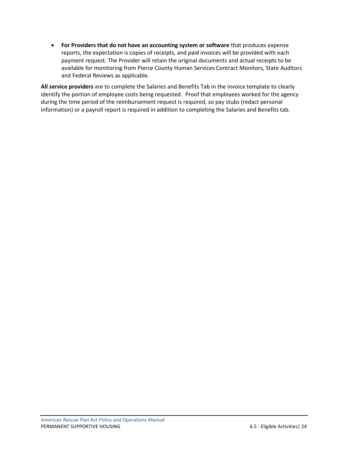• **For Providers that do not have an accounting system or software** that produces expense reports, the expectation is copies of receipts, and paid invoices will be provided with each payment request. The Provider will retain the original documents and actual receipts to be available for monitoring from Pierce County Human Services Contract Monitors, State Auditors and Federal Reviews as applicable.

**All service providers** are to complete the Salaries and Benefits Tab in the invoice template to clearly identify the portion of employee costs being requested. Proof that employees worked for the agency during the time period of the reimbursement request is required, so pay stubs (redact personal information) or a payroll report is required in addition to completing the Salaries and Benefits tab.